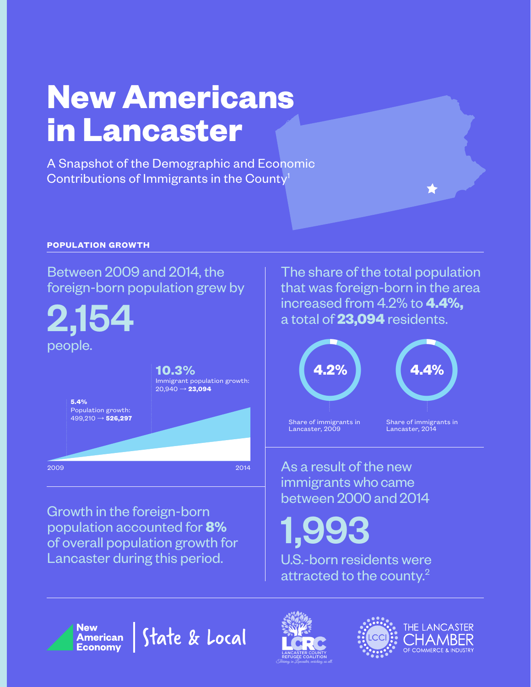## **New Americans in Lancaster**

A Snapshot of the Demographic and Economic Contributions of Immigrants in the County<sup>1</sup>

### **POPULATION GROWTH**

### Between 2009 and 2014, the foreign-born population grew by

2,154 people.

|                                                             | 10.3%<br>Immigrant population growth:<br>$20,940 \rightarrow 23,094$ |
|-------------------------------------------------------------|----------------------------------------------------------------------|
| 5.4%<br>Population growth:<br>$499,210 \rightarrow 526,297$ |                                                                      |
|                                                             |                                                                      |
| 2009                                                        | 2014                                                                 |

Growth in the foreign-born population accounted for **8%** of overall population growth for Lancaster during this period.

The share of the total population that was foreign-born in the area increased from 4.2% to **4.4%,** a total of **23,094** residents.



As a result of the new immigrants who came between 2000 and 2014

1,993

U.S.-born residents were attracted to the county.2





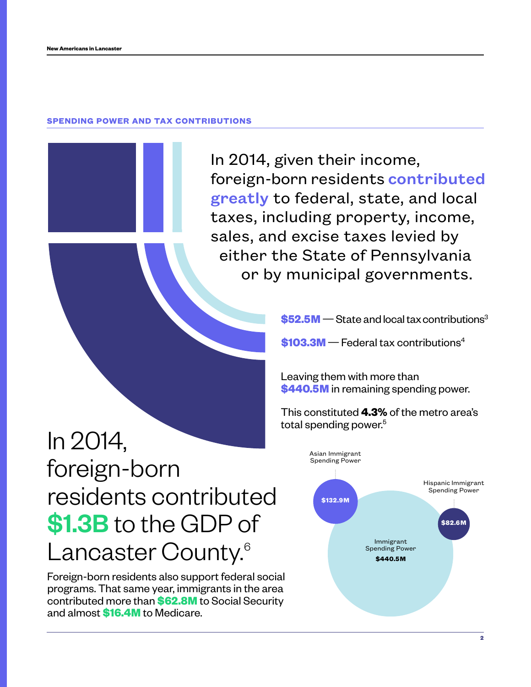#### **SPENDING POWER AND TAX CONTRIBUTIONS**

In 2014, given their income, foreign-born residents contributed greatly to federal, state, and local taxes, including property, income, sales, and excise taxes levied by either the State of Pennsylvania or by municipal governments.

**\$52.5M** — State and local tax contributions<sup>3</sup>

**\$103.3M**—Federal tax contributions4

Leaving them with more than **\$440.5M** in remaining spending power.

This constituted **4.3%** of the metro area's total spending power.<sup>5</sup>

## In 2014, foreign-born residents contributed \$1.3B to the GDP of Lancaster County.<sup>6</sup>

Foreign-born residents also support federal social programs. That same year, immigrants in the area contributed more than **\$62.8M** to Social Security and almost **\$16.4M** to Medicare.

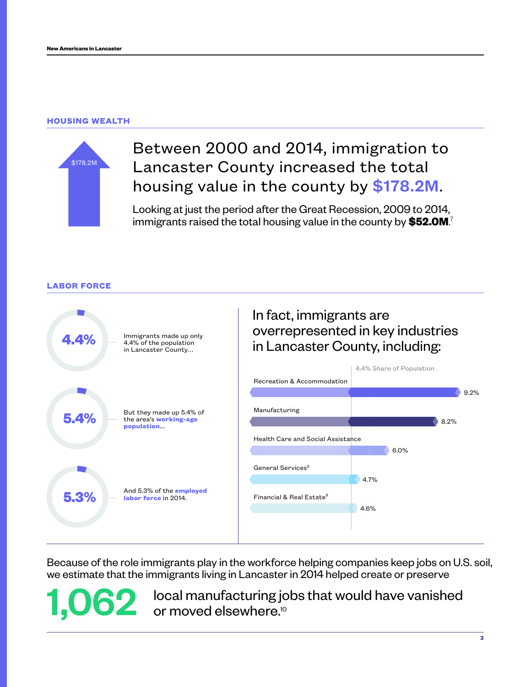### **HOUSING WEALTH**



### Between 2000 and 2014, immigration to Lancaster County increased the total housing value in the county by \$178.2M.

Looking at just the period after the Great Recession, 2009 to 2014, immigrants raised the total housing value in the county by **\$52.0M**. 7



Because of the role immigrants play in the workforce helping companies keep jobs on U.S. soil, we estimate that the immigrants living in Lancaster in 2014 helped create or preserve

1,062 local manufacturing jobs that would have vanished<br>or moved elsewhere.<sup>10</sup> or moved elsewhere.<sup>10</sup>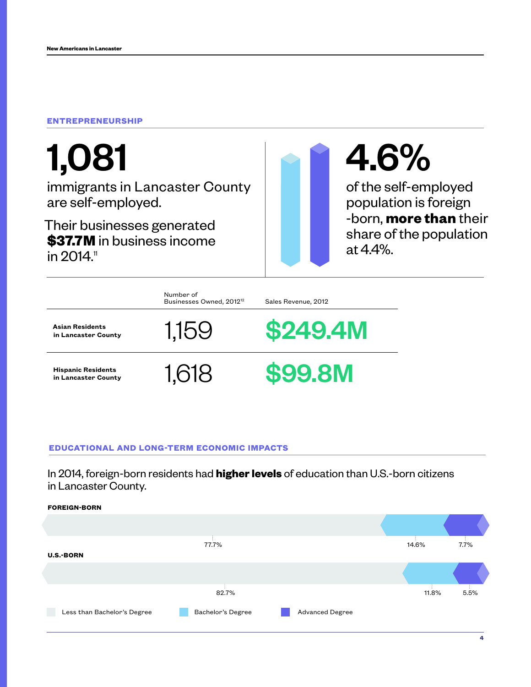### **ENTREPRENEURSHIP**

# 1,081

immigrants in Lancaster County are self-employed.

Their businesses generated **\$37.7M** in business income in  $2014$ .<sup>11</sup>

# 4.6%

of the self-employed population is foreign -born, **more than** their share of the population at 4.4%.

|                                                  | Number of<br>Businesses Owned, 2012 <sup>12</sup> | Sales Revenue, 2012 |
|--------------------------------------------------|---------------------------------------------------|---------------------|
| <b>Asian Residents</b><br>in Lancaster County    | 1.159                                             | <b>\$249.4M</b>     |
| <b>Hispanic Residents</b><br>in Lancaster County | 1.618                                             | <b>\$99.8M</b>      |

### **EDUCATIONAL AND LONG-TERM ECONOMIC IMPACTS**

In 2014, foreign-born residents had **higher levels** of education than U.S.-born citizens in Lancaster County.

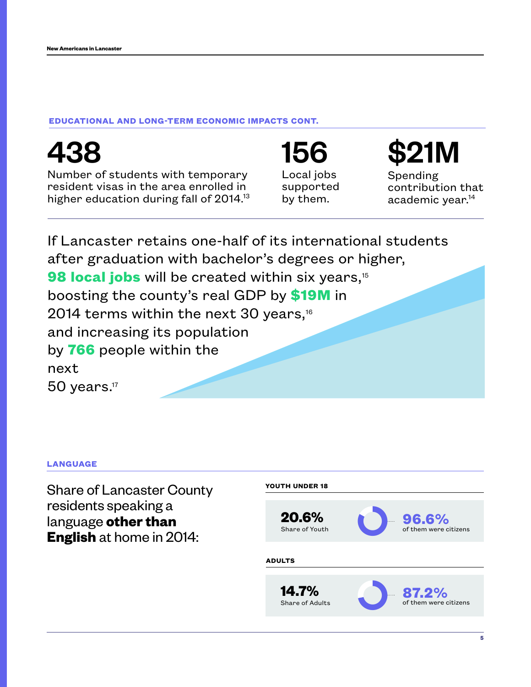438

### **EDUCATIONAL AND LONG-TERM ECONOMIC IMPACTS CONT.**

| Number of students with temporary<br>resident visas in the area enrolled in<br>higher education during fall of 2014. <sup>13</sup> | Local jobs<br>supported<br>by them. | Spending<br>contribution that<br>academic year. <sup>14</sup> |  |  |  |
|------------------------------------------------------------------------------------------------------------------------------------|-------------------------------------|---------------------------------------------------------------|--|--|--|
| If Lancaster retains one-half of its international students<br>after graduation with bachelor's degrees or higher,                 |                                     |                                                               |  |  |  |
| 98 local jobs will be created within six years, <sup>15</sup>                                                                      |                                     |                                                               |  |  |  |
| boosting the county's real GDP by \$19M in                                                                                         |                                     |                                                               |  |  |  |
| 2014 terms within the next 30 years, <sup>16</sup>                                                                                 |                                     |                                                               |  |  |  |
| and increasing its population                                                                                                      |                                     |                                                               |  |  |  |
| by 766 people within the                                                                                                           |                                     |                                                               |  |  |  |
| next                                                                                                                               |                                     |                                                               |  |  |  |
| $50$ years. <sup>17</sup>                                                                                                          |                                     |                                                               |  |  |  |

### **LANGUAGE**

Share of Lancaster County residents speaking a language **other than English** at home in 2014:



156 \$21M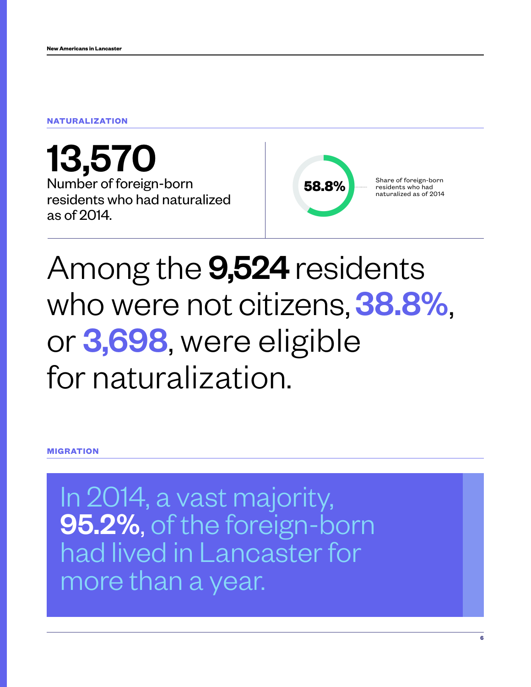### **NATURALIZATION**

13,570 Number of foreign-born residents who had naturalized as of 2014.



## Among the **9,524** residents who were not citizens, 38.8%, or 3,698, were eligible for naturalization.

**MIGRATION**

In 2014, a vast majority, 95.2%, of the foreign-born had lived in Lancaster for more than a year.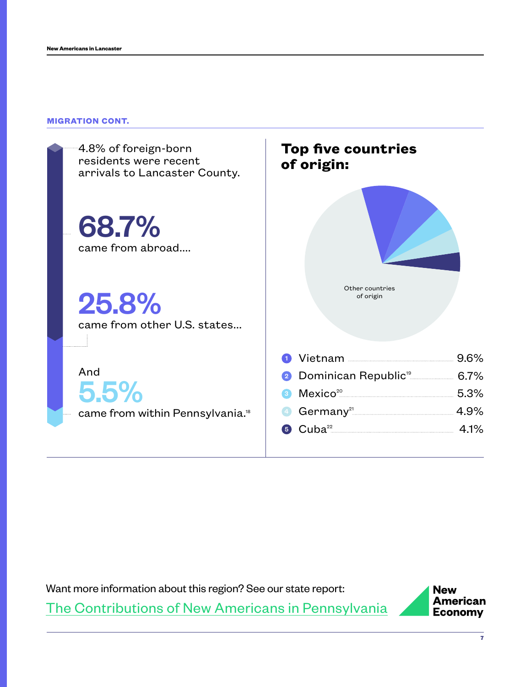### **MIGRATION CONT.**



Want more information about this region? See our state report: [The Contributions of New Americans in](http://www.renewoureconomy.org/reports/state/?abbr=pa) Pennsylvania